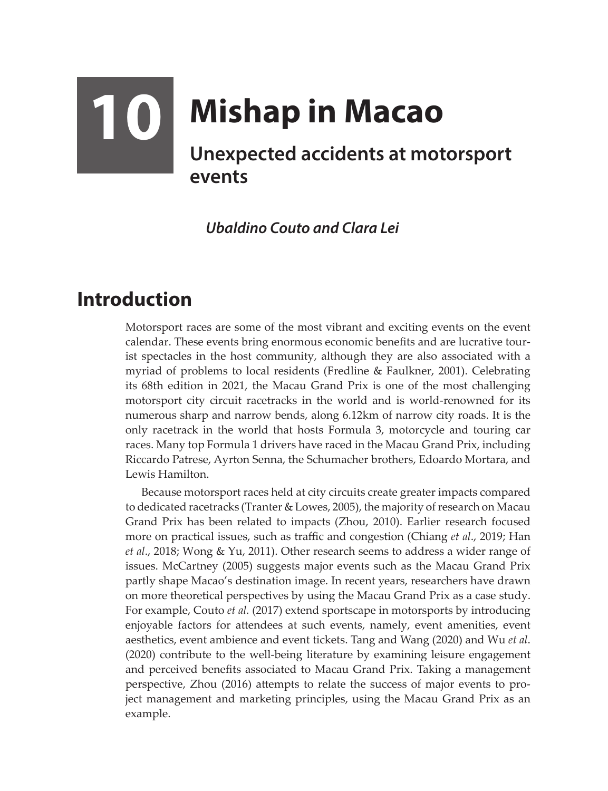## **10 Mishap in Macao Unexpected accidents at motorsport events**

## *Ubaldino Couto and Clara Lei*

## **Introduction**

Motorsport races are some of the most vibrant and exciting events on the event calendar. These events bring enormous economic benefits and are lucrative tourist spectacles in the host community, although they are also associated with a myriad of problems to local residents (Fredline & Faulkner, 2001). Celebrating its 68th edition in 2021, the Macau Grand Prix is one of the most challenging motorsport city circuit racetracks in the world and is world-renowned for its numerous sharp and narrow bends, along 6.12km of narrow city roads. It is the only racetrack in the world that hosts Formula 3, motorcycle and touring car races. Many top Formula 1 drivers have raced in the Macau Grand Prix, including Riccardo Patrese, Ayrton Senna, the Schumacher brothers, Edoardo Mortara, and Lewis Hamilton.

Because motorsport races held at city circuits create greater impacts compared to dedicated racetracks (Tranter & Lowes, 2005), the majority of research on Macau Grand Prix has been related to impacts (Zhou, 2010). Earlier research focused more on practical issues, such as traffic and congestion (Chiang *et al*., 2019; Han *et al*., 2018; Wong & Yu, 2011). Other research seems to address a wider range of issues. McCartney (2005) suggests major events such as the Macau Grand Prix partly shape Macao's destination image. In recent years, researchers have drawn on more theoretical perspectives by using the Macau Grand Prix as a case study. For example, Couto *et al.* (2017) extend sportscape in motorsports by introducing enjoyable factors for attendees at such events, namely, event amenities, event aesthetics, event ambience and event tickets. Tang and Wang (2020) and Wu *et al*. (2020) contribute to the well-being literature by examining leisure engagement and perceived benefits associated to Macau Grand Prix. Taking a management perspective, Zhou (2016) attempts to relate the success of major events to project management and marketing principles, using the Macau Grand Prix as an example.